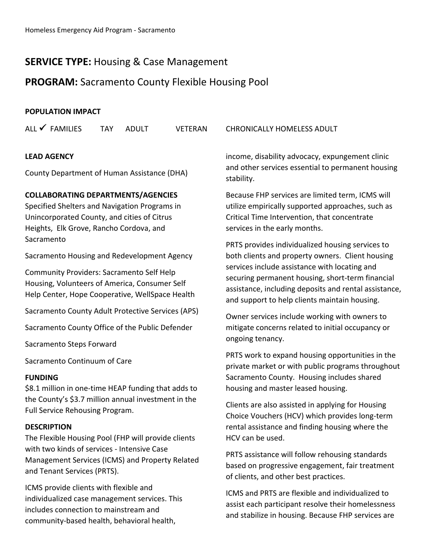# **SERVICE TYPE:** Housing & Case Management

## **PROGRAM:** Sacramento County Flexible Housing Pool

#### **POPULATION IMPACT**

| ALL $\checkmark$ FAMILIES | <b>TAY</b> | ADULT | VETERAN | CHRONICALLY HOMELESS ADULT             |
|---------------------------|------------|-------|---------|----------------------------------------|
| <b>LEAD AGENCY</b>        |            |       |         | income, disability advocacy, expungem  |
|                           |            |       |         | and other services essential to perman |

County Department of Human Assistance (DHA)

#### **COLLABORATING DEPARTMENTS/AGENCIES**

Specified Shelters and Navigation Programs in Unincorporated County, and cities of Citrus Heights, Elk Grove, Rancho Cordova, and Sacramento

Sacramento Housing and Redevelopment Agency

Community Providers: Sacramento Self Help Housing, Volunteers of America, Consumer Self Help Center, Hope Cooperative, WellSpace Health

Sacramento County Adult Protective Services (APS)

Sacramento County Office of the Public Defender

Sacramento Steps Forward

Sacramento Continuum of Care

#### **FUNDING**

\$8.1 million in one-time HEAP funding that adds to the County's \$3.7 million annual investment in the Full Service Rehousing Program.

#### **DESCRIPTION**

The Flexible Housing Pool (FHP will provide clients with two kinds of services ‐ Intensive Case Management Services (ICMS) and Property Related and Tenant Services (PRTS).

ICMS provide clients with flexible and individualized case management services. This includes connection to mainstream and community‐based health, behavioral health,

ent clinic ent housing stability.

Because FHP services are limited term, ICMS will utilize empirically supported approaches, such as Critical Time Intervention, that concentrate services in the early months.

PRTS provides individualized housing services to both clients and property owners. Client housing services include assistance with locating and securing permanent housing, short‐term financial assistance, including deposits and rental assistance, and support to help clients maintain housing.

Owner services include working with owners to mitigate concerns related to initial occupancy or ongoing tenancy.

PRTS work to expand housing opportunities in the private market or with public programs throughout Sacramento County. Housing includes shared housing and master leased housing.

Clients are also assisted in applying for Housing Choice Vouchers (HCV) which provides long‐term rental assistance and finding housing where the HCV can be used.

PRTS assistance will follow rehousing standards based on progressive engagement, fair treatment of clients, and other best practices.

ICMS and PRTS are flexible and individualized to assist each participant resolve their homelessness and stabilize in housing. Because FHP services are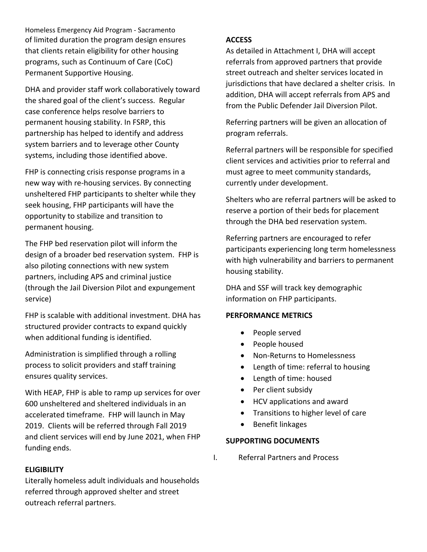Homeless Emergency Aid Program ‐ Sacramento of limited duration the program design ensures that clients retain eligibility for other housing programs, such as Continuum of Care (CoC) Permanent Supportive Housing.

DHA and provider staff work collaboratively toward the shared goal of the client's success. Regular case conference helps resolve barriers to permanent housing stability. In FSRP, this partnership has helped to identify and address system barriers and to leverage other County systems, including those identified above.

FHP is connecting crisis response programs in a new way with re‐housing services. By connecting unsheltered FHP participants to shelter while they seek housing, FHP participants will have the opportunity to stabilize and transition to permanent housing.

The FHP bed reservation pilot will inform the design of a broader bed reservation system. FHP is also piloting connections with new system partners, including APS and criminal justice (through the Jail Diversion Pilot and expungement service)

FHP is scalable with additional investment. DHA has structured provider contracts to expand quickly when additional funding is identified.

Administration is simplified through a rolling process to solicit providers and staff training ensures quality services.

With HEAP, FHP is able to ramp up services for over 600 unsheltered and sheltered individuals in an accelerated timeframe. FHP will launch in May 2019. Clients will be referred through Fall 2019 and client services will end by June 2021, when FHP funding ends.

#### **ELIGIBILITY**

Literally homeless adult individuals and households referred through approved shelter and street outreach referral partners.

### **ACCESS**

As detailed in Attachment I, DHA will accept referrals from approved partners that provide street outreach and shelter services located in jurisdictions that have declared a shelter crisis. In addition, DHA will accept referrals from APS and from the Public Defender Jail Diversion Pilot.

Referring partners will be given an allocation of program referrals.

Referral partners will be responsible for specified client services and activities prior to referral and must agree to meet community standards, currently under development.

Shelters who are referral partners will be asked to reserve a portion of their beds for placement through the DHA bed reservation system.

Referring partners are encouraged to refer participants experiencing long term homelessness with high vulnerability and barriers to permanent housing stability.

DHA and SSF will track key demographic information on FHP participants.

#### **PERFORMANCE METRICS**

- People served
- People housed
- Non-Returns to Homelessness
- Length of time: referral to housing
- Length of time: housed
- Per client subsidy
- HCV applications and award
- Transitions to higher level of care
- Benefit linkages

#### **SUPPORTING DOCUMENTS**

I. Referral Partners and Process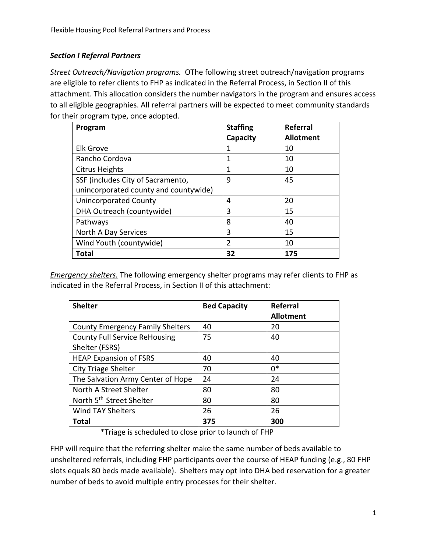## *Section I Referral Partners*

**Street Outreach/Navigation programs.** OThe following street outreach/navigation programs are eligible to refer clients to FHP as indicated in the Referral Process, in Section II of this attachment. This allocation considers the number navigators in the program and ensures access to all eligible geographies. All referral partners will be expected to meet community standards for their program type, once adopted.

| Program                               | <b>Staffing</b> | Referral         |
|---------------------------------------|-----------------|------------------|
|                                       | Capacity        | <b>Allotment</b> |
| <b>Elk Grove</b>                      | 1               | 10               |
| Rancho Cordova                        | 1               | 10               |
| <b>Citrus Heights</b>                 | 1               | 10               |
| SSF (includes City of Sacramento,     | 9               | 45               |
| unincorporated county and countywide) |                 |                  |
| <b>Unincorporated County</b>          | 4               | 20               |
| DHA Outreach (countywide)             | 3               | 15               |
| Pathways                              | 8               | 40               |
| North A Day Services                  | 3               | 15               |
| Wind Youth (countywide)               | $\overline{2}$  | 10               |
| Total                                 | 32              | 175              |

*Emergency shelters.* The following emergency shelter programs may refer clients to FHP as indicated in the Referral Process, in Section II of this attachment:

| <b>Shelter</b>                          | <b>Bed Capacity</b> | Referral         |
|-----------------------------------------|---------------------|------------------|
|                                         |                     | <b>Allotment</b> |
| <b>County Emergency Family Shelters</b> | 40                  | 20               |
| <b>County Full Service ReHousing</b>    | 75                  | 40               |
| Shelter (FSRS)                          |                     |                  |
| <b>HEAP Expansion of FSRS</b>           | 40                  | 40               |
| <b>City Triage Shelter</b>              | 70                  | $0*$             |
| The Salvation Army Center of Hope       | 24                  | 24               |
| North A Street Shelter                  | 80                  | 80               |
| North 5 <sup>th</sup> Street Shelter    | 80                  | 80               |
| <b>Wind TAY Shelters</b>                | 26                  | 26               |
| Total                                   | 375                 | 300              |

\*Triage is scheduled to close prior to launch of FHP

FHP will require that the referring shelter make the same number of beds available to unsheltered referrals, including FHP participants over the course of HEAP funding (e.g., 80 FHP slots equals 80 beds made available). Shelters may opt into DHA bed reservation for a greater number of beds to avoid multiple entry processes for their shelter.